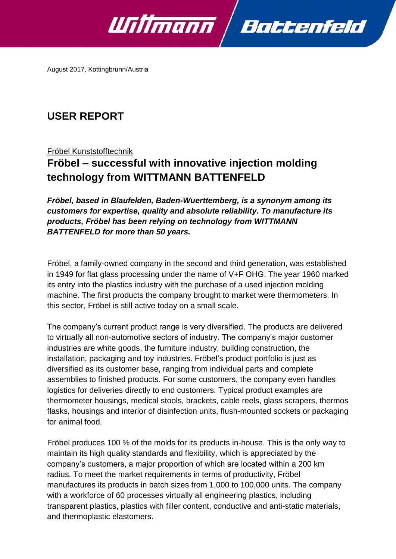

August 2017, Kottingbrunn/Austria

## **USER REPORT**

Fröbel Kunststofftechnik

# **Fröbel – successful with innovative injection molding technology from WITTMANN BATTENFELD**

*Fröbel, based in Blaufelden, Baden-Wuerttemberg, is a synonym among its customers for expertise, quality and absolute reliability. To manufacture its products, Fröbel has been relying on technology from WITTMANN BATTENFELD for more than 50 years.*

Fröbel, a family-owned company in the second and third generation, was established in 1949 for flat glass processing under the name of V+F OHG. The year 1960 marked its entry into the plastics industry with the purchase of a used injection molding machine. The first products the company brought to market were thermometers. In this sector, Fröbel is still active today on a small scale.

The company's current product range is very diversified. The products are delivered to virtually all non-automotive sectors of industry. The company's major customer industries are white goods, the furniture industry, building construction, the installation, packaging and toy industries. Fröbel's product portfolio is just as diversified as its customer base, ranging from individual parts and complete assemblies to finished products. For some customers, the company even handles logistics for deliveries directly to end customers. Typical product examples are thermometer housings, medical stools, brackets, cable reels, glass scrapers, thermos flasks, housings and interior of disinfection units, flush-mounted sockets or packaging for animal food.

Fröbel produces 100 % of the molds for its products in-house. This is the only way to maintain its high quality standards and flexibility, which is appreciated by the company's customers, a major proportion of which are located within a 200 km radius. To meet the market requirements in terms of productivity, Fröbel manufactures its products in batch sizes from 1,000 to 100,000 units. The company with a workforce of 60 processes virtually all engineering plastics, including transparent plastics, plastics with filler content, conductive and anti-static materials, and thermoplastic elastomers.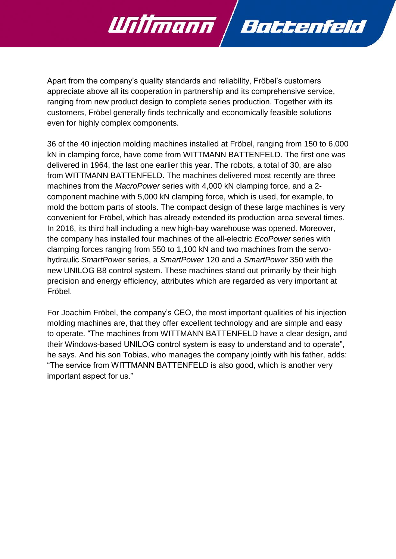

Apart from the company's quality standards and reliability, Fröbel's customers appreciate above all its cooperation in partnership and its comprehensive service, ranging from new product design to complete series production. Together with its customers, Fröbel generally finds technically and economically feasible solutions even for highly complex components.

36 of the 40 injection molding machines installed at Fröbel, ranging from 150 to 6,000 kN in clamping force, have come from WITTMANN BATTENFELD. The first one was delivered in 1964, the last one earlier this year. The robots, a total of 30, are also from WITTMANN BATTENFELD. The machines delivered most recently are three machines from the *MacroPower* series with 4,000 kN clamping force, and a 2 component machine with 5,000 kN clamping force, which is used, for example, to mold the bottom parts of stools. The compact design of these large machines is very convenient for Fröbel, which has already extended its production area several times. In 2016, its third hall including a new high-bay warehouse was opened. Moreover, the company has installed four machines of the all-electric *EcoPower* series with clamping forces ranging from 550 to 1,100 kN and two machines from the servohydraulic *SmartPower* series, a *SmartPower* 120 and a *SmartPower* 350 with the new UNILOG B8 control system. These machines stand out primarily by their high precision and energy efficiency, attributes which are regarded as very important at Fröbel.

For Joachim Fröbel, the company's CEO, the most important qualities of his injection molding machines are, that they offer excellent technology and are simple and easy to operate. "The machines from WITTMANN BATTENFELD have a clear design, and their Windows-based UNILOG control system is easy to understand and to operate", he says. And his son Tobias, who manages the company jointly with his father, adds: "The service from WITTMANN BATTENFELD is also good, which is another very important aspect for us."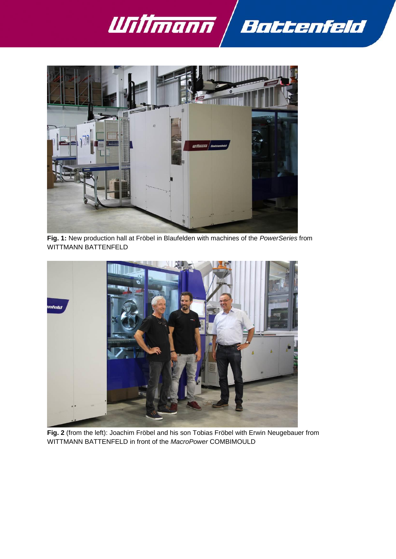



**Fig. 1:** New production hall at Fröbel in Blaufelden with machines of the *PowerSeries* from WITTMANN BATTENFELD



**Fig. 2** (from the left): Joachim Fröbel and his son Tobias Fröbel with Erwin Neugebauer from WITTMANN BATTENFELD in front of the *MacroPower* COMBIMOULD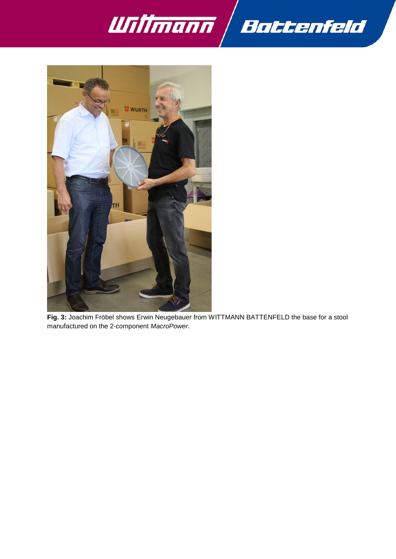



**Fig. 3:** Joachim Fröbel shows Erwin Neugebauer from WITTMANN BATTENFELD the base for a stool manufactured on the 2-component *MacroPower*.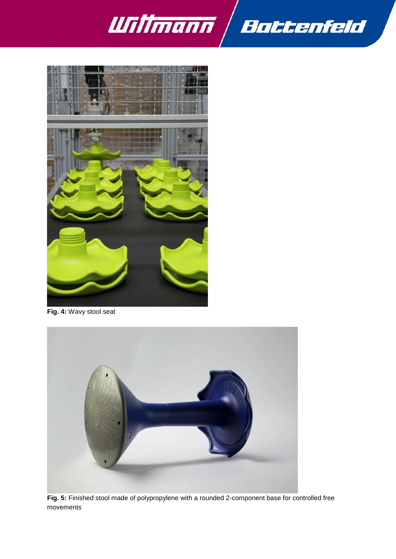



**Fig. 4:** Wavy stool seat



**Fig. 5:** Finished stool made of polypropylene with a rounded 2-component base for controlled free movements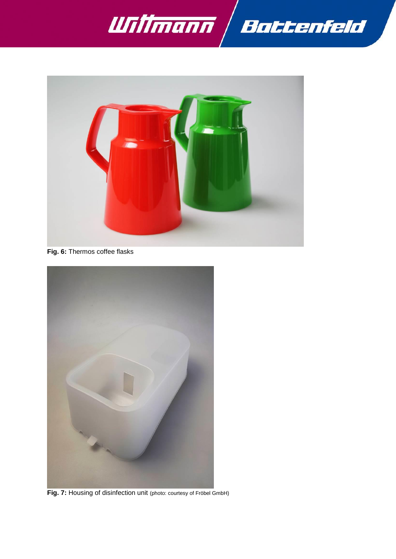



**Fig. 6:** Thermos coffee flasks



**Fig. 7:** Housing of disinfection unit (photo: courtesy of Fröbel GmbH)